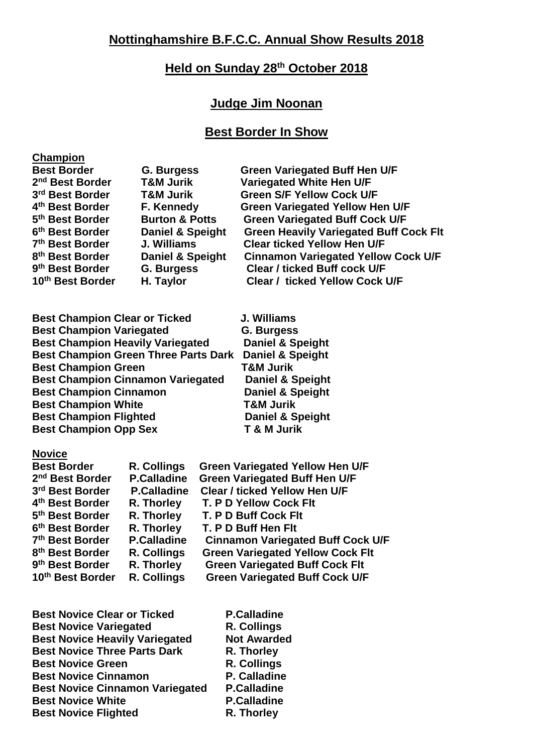# **Held on Sunday 28th October 2018**

## **Judge Jim Noonan**

### **Best Border In Show**

#### **Champion**

| <b>Best Border</b>          | <b>G. Burgess</b>           | <b>Green Variegated Buff Hen U/F</b>          |
|-----------------------------|-----------------------------|-----------------------------------------------|
| 2 <sup>nd</sup> Best Border | <b>T&amp;M Jurik</b>        | Variegated White Hen U/F                      |
| 3rd Best Border             | <b>T&amp;M Jurik</b>        | <b>Green S/F Yellow Cock U/F</b>              |
| 4 <sup>th</sup> Best Border | F. Kennedy                  | <b>Green Variegated Yellow Hen U/F</b>        |
| 5 <sup>th</sup> Best Border | <b>Burton &amp; Potts</b>   | <b>Green Variegated Buff Cock U/F</b>         |
| 6 <sup>th</sup> Best Border | <b>Daniel &amp; Speight</b> | <b>Green Heavily Variegated Buff Cock Flt</b> |
| 7 <sup>th</sup> Best Border | J. Williams                 | <b>Clear ticked Yellow Hen U/F</b>            |
| 8 <sup>th</sup> Best Border | <b>Daniel &amp; Speight</b> | <b>Cinnamon Variegated Yellow Cock U/F</b>    |
| 9 <sup>th</sup> Best Border | <b>G. Burgess</b>           | <b>Clear / ticked Buff cock U/F</b>           |
| 10th Best Border            | H. Taylor                   | <b>Clear / ticked Yellow Cock U/F</b>         |

**Best Champion Clear or Ticked J. Williams Best Champion Variegated G. Burgess Best Champion Heavily Variegated Daniel & Speight Best Champion Green Three Parts Dark Daniel & Speight Best Champion Green T&M Jurik Best Champion Cinnamon Variegated Daniel & Speight Best Champion Cinnamon** Daniel & Speight **Best Champion White T&M Jurik Best Champion Flighted Daniel & Speight<br>
Best Champion Opp Sex T & M Jurik Best Champion Opp Sex** 

#### **Novice**

| <b>Best Border</b>          | R. Collings        | <b>Green Variegated Yellow Hen U/F</b>   |
|-----------------------------|--------------------|------------------------------------------|
| 2 <sup>nd</sup> Best Border | <b>P.Calladine</b> | <b>Green Variegated Buff Hen U/F</b>     |
| 3rd Best Border             | <b>P.Calladine</b> | <b>Clear / ticked Yellow Hen U/F</b>     |
| 4 <sup>th</sup> Best Border | R. Thorley         | T. P D Yellow Cock Flt                   |
| 5 <sup>th</sup> Best Border | R. Thorley         | T. P D Buff Cock Flt                     |
| 6 <sup>th</sup> Best Border | R. Thorley         | T. P D Buff Hen Flt                      |
| 7 <sup>th</sup> Best Border | <b>P.Calladine</b> | <b>Cinnamon Variegated Buff Cock U/F</b> |
| 8 <sup>th</sup> Best Border | R. Collings        | <b>Green Variegated Yellow Cock Flt</b>  |
| 9 <sup>th</sup> Best Border | R. Thorley         | <b>Green Variegated Buff Cock Flt</b>    |
| 10th Best Border            | R. Collings        | <b>Green Variegated Buff Cock U/F</b>    |

| <b>Best Novice Clear or Ticked</b>     | <b>P.Calladine</b> |
|----------------------------------------|--------------------|
| <b>Best Novice Variegated</b>          | R. Collings        |
| <b>Best Novice Heavily Variegated</b>  | <b>Not Awarded</b> |
| <b>Best Novice Three Parts Dark</b>    | R. Thorley         |
| <b>Best Novice Green</b>               | R. Collings        |
| <b>Best Novice Cinnamon</b>            | P. Calladine       |
| <b>Best Novice Cinnamon Variegated</b> | <b>P.Calladine</b> |
| <b>Best Novice White</b>               | <b>P.Calladine</b> |
| <b>Best Novice Flighted</b>            | R. Thorley         |
|                                        |                    |